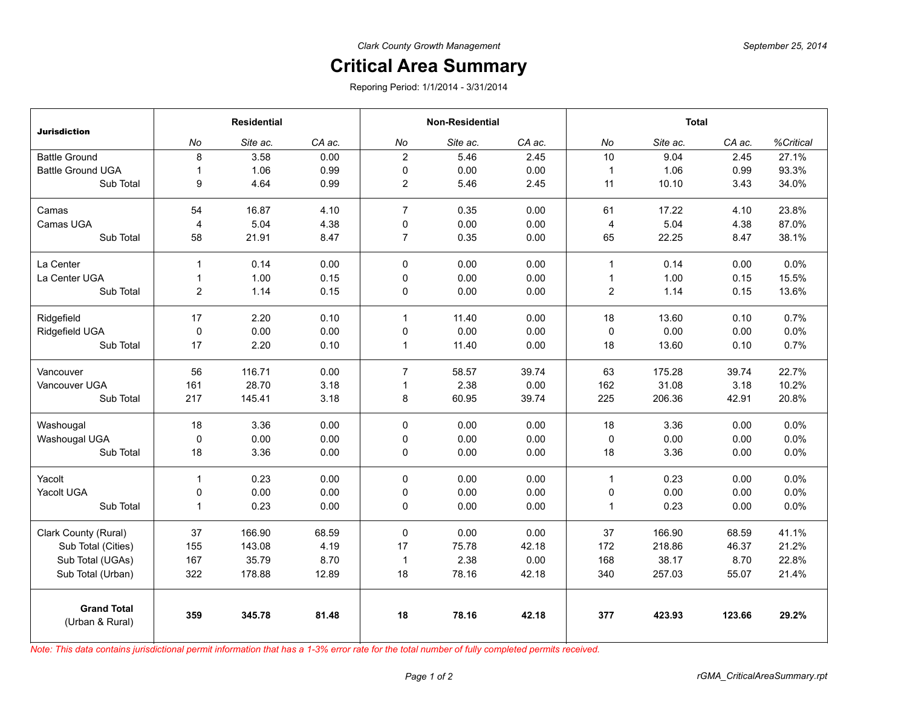## **Critical Area Summary**

Reporing Period: 1/1/2014 - 3/31/2014

| <b>Jurisdiction</b>                   | <b>Residential</b> |          |        | <b>Non-Residential</b> |          |        | <b>Total</b>   |          |        |           |
|---------------------------------------|--------------------|----------|--------|------------------------|----------|--------|----------------|----------|--------|-----------|
|                                       | No                 | Site ac. | CA ac. | No                     | Site ac. | CA ac. | No             | Site ac. | CA ac. | %Critical |
| <b>Battle Ground</b>                  | 8                  | 3.58     | 0.00   | $\overline{2}$         | 5.46     | 2.45   | 10             | 9.04     | 2.45   | 27.1%     |
| <b>Battle Ground UGA</b>              | $\mathbf{1}$       | 1.06     | 0.99   | 0                      | 0.00     | 0.00   | $\mathbf{1}$   | 1.06     | 0.99   | 93.3%     |
| Sub Total                             | 9                  | 4.64     | 0.99   | $\overline{2}$         | 5.46     | 2.45   | 11             | 10.10    | 3.43   | 34.0%     |
| Camas                                 | 54                 | 16.87    | 4.10   | $\overline{7}$         | 0.35     | 0.00   | 61             | 17.22    | 4.10   | 23.8%     |
| Camas UGA                             | $\overline{4}$     | 5.04     | 4.38   | 0                      | 0.00     | 0.00   | 4              | 5.04     | 4.38   | 87.0%     |
| Sub Total                             | 58                 | 21.91    | 8.47   | $\overline{7}$         | 0.35     | 0.00   | 65             | 22.25    | 8.47   | 38.1%     |
| La Center                             | $\mathbf{1}$       | 0.14     | 0.00   | $\Omega$               | 0.00     | 0.00   | $\mathbf{1}$   | 0.14     | 0.00   | 0.0%      |
| La Center UGA                         | $\mathbf{1}$       | 1.00     | 0.15   | 0                      | 0.00     | 0.00   | $\mathbf{1}$   | 1.00     | 0.15   | 15.5%     |
| Sub Total                             | $\overline{2}$     | 1.14     | 0.15   | 0                      | 0.00     | 0.00   | $\overline{2}$ | 1.14     | 0.15   | 13.6%     |
| Ridgefield                            | 17                 | 2.20     | 0.10   | $\mathbf{1}$           | 11.40    | 0.00   | 18             | 13.60    | 0.10   | 0.7%      |
| Ridgefield UGA                        | 0                  | 0.00     | 0.00   | 0                      | 0.00     | 0.00   | 0              | 0.00     | 0.00   | 0.0%      |
| Sub Total                             | 17                 | 2.20     | 0.10   | $\mathbf{1}$           | 11.40    | 0.00   | 18             | 13.60    | 0.10   | 0.7%      |
| Vancouver                             | 56                 | 116.71   | 0.00   | $\overline{7}$         | 58.57    | 39.74  | 63             | 175.28   | 39.74  | 22.7%     |
| Vancouver UGA                         | 161                | 28.70    | 3.18   | $\mathbf{1}$           | 2.38     | 0.00   | 162            | 31.08    | 3.18   | 10.2%     |
| Sub Total                             | 217                | 145.41   | 3.18   | 8                      | 60.95    | 39.74  | 225            | 206.36   | 42.91  | 20.8%     |
| Washougal                             | 18                 | 3.36     | 0.00   | $\mathbf 0$            | 0.00     | 0.00   | 18             | 3.36     | 0.00   | 0.0%      |
| Washougal UGA                         | 0                  | 0.00     | 0.00   | $\mathbf 0$            | 0.00     | 0.00   | $\mathbf 0$    | 0.00     | 0.00   | 0.0%      |
| Sub Total                             | 18                 | 3.36     | 0.00   | 0                      | 0.00     | 0.00   | 18             | 3.36     | 0.00   | 0.0%      |
| Yacolt                                | $\mathbf{1}$       | 0.23     | 0.00   | $\mathbf 0$            | 0.00     | 0.00   | $\mathbf{1}$   | 0.23     | 0.00   | 0.0%      |
| Yacolt UGA                            | 0                  | 0.00     | 0.00   | 0                      | 0.00     | 0.00   | 0              | 0.00     | 0.00   | 0.0%      |
| Sub Total                             | $\mathbf{1}$       | 0.23     | 0.00   | 0                      | 0.00     | 0.00   | $\mathbf{1}$   | 0.23     | 0.00   | 0.0%      |
| Clark County (Rural)                  | 37                 | 166.90   | 68.59  | 0                      | 0.00     | 0.00   | 37             | 166.90   | 68.59  | 41.1%     |
| Sub Total (Cities)                    | 155                | 143.08   | 4.19   | 17                     | 75.78    | 42.18  | 172            | 218.86   | 46.37  | 21.2%     |
| Sub Total (UGAs)                      | 167                | 35.79    | 8.70   | $\overline{1}$         | 2.38     | 0.00   | 168            | 38.17    | 8.70   | 22.8%     |
| Sub Total (Urban)                     | 322                | 178.88   | 12.89  | 18                     | 78.16    | 42.18  | 340            | 257.03   | 55.07  | 21.4%     |
| <b>Grand Total</b><br>(Urban & Rural) | 359                | 345.78   | 81.48  | 18                     | 78.16    | 42.18  | 377            | 423.93   | 123.66 | 29.2%     |

*Note: This data contains jurisdictional permit information that has a 1-3% error rate for the total number of fully completed permits received.*